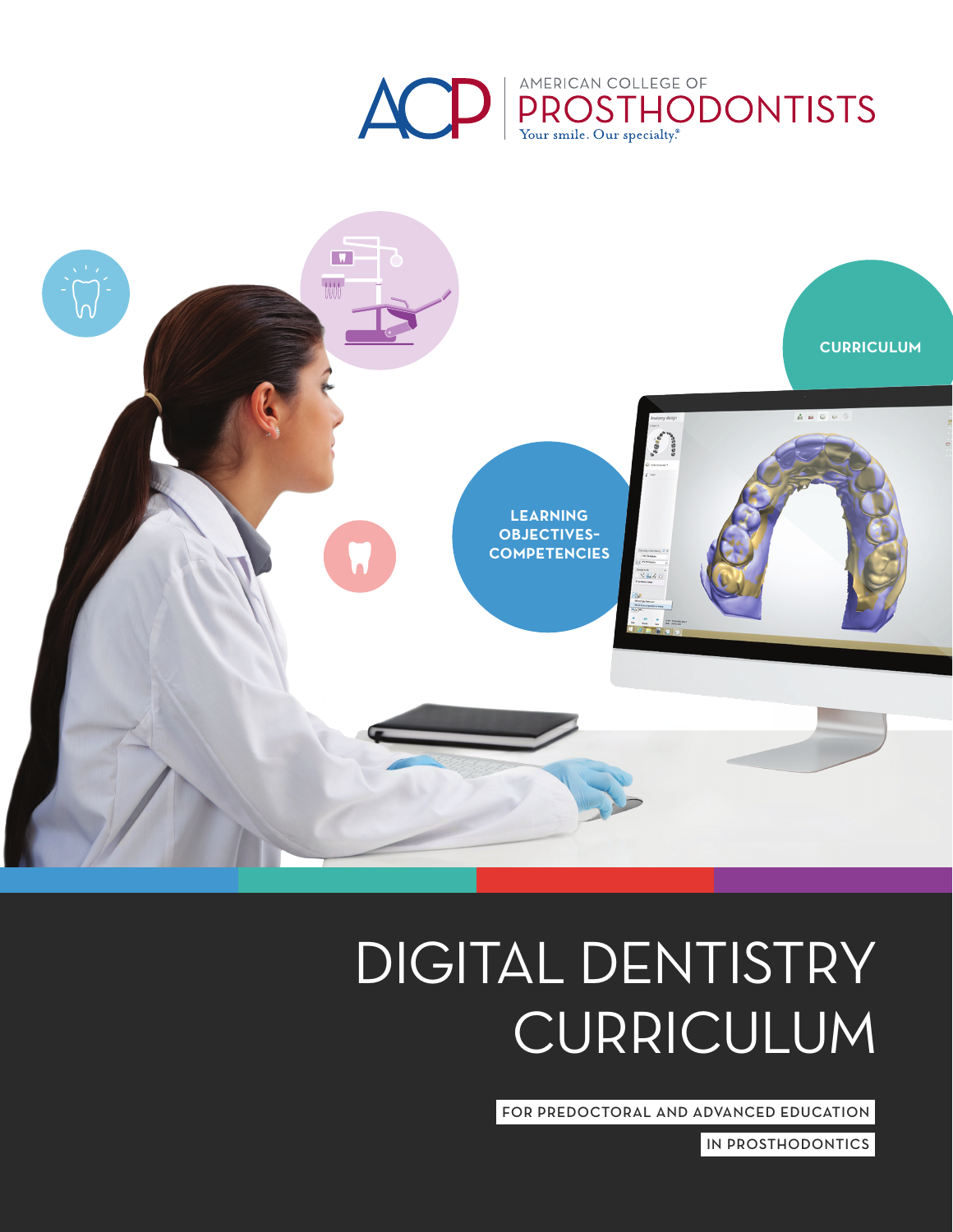



# DIGITAL DENTISTRY CURRICULUM

FOR PREDOCTORAL AND ADVANCED EDUCATION

IN PROSTHODONTICS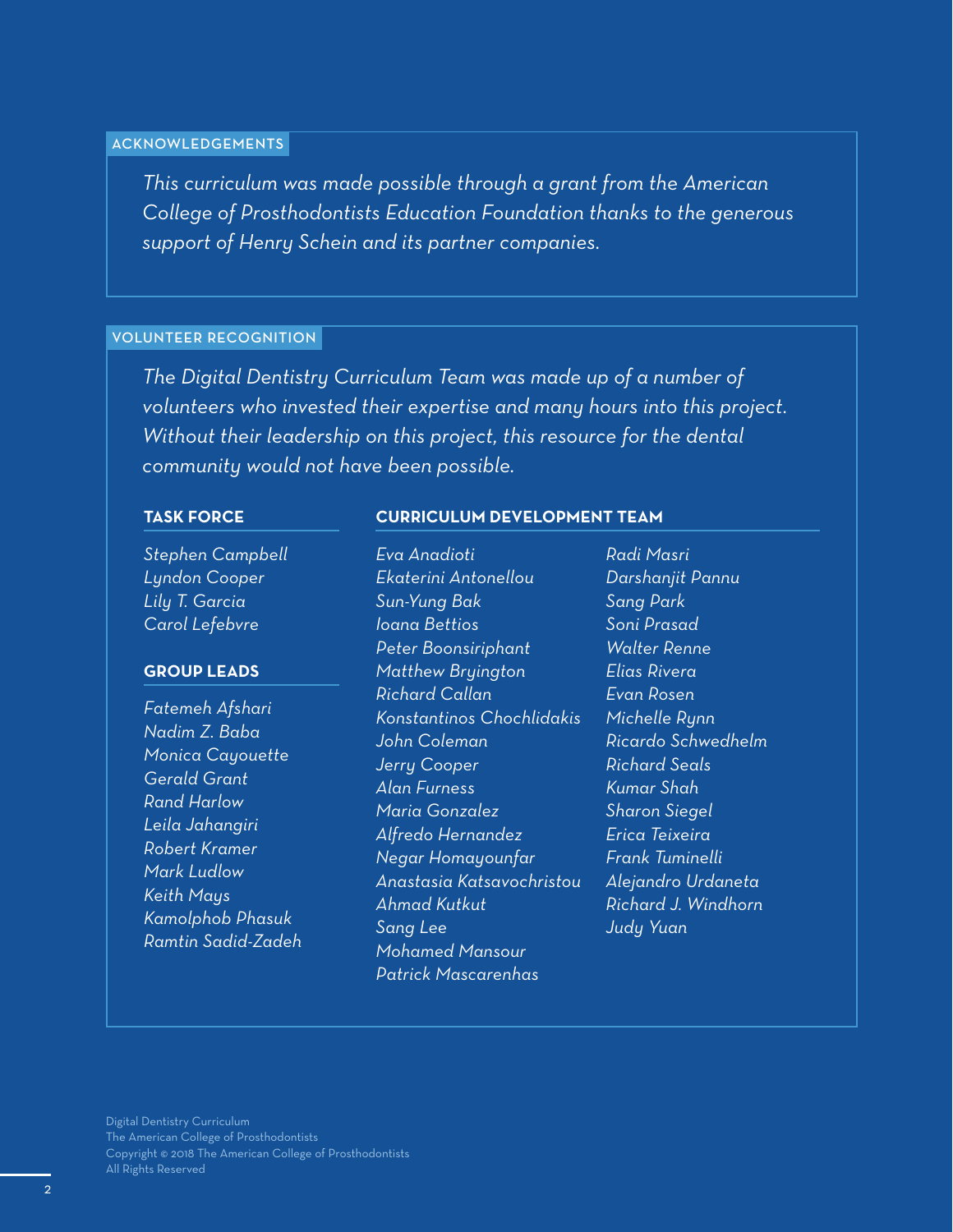#### **ACKNOWLEDGEMENTS**

*This curriculum was made possible through a grant from the American College of Prosthodontists Education Foundation thanks to the generous support of Henry Schein and its partner companies.*

### VOLUNTEER RECOGNITION

*The Digital Dentistry Curriculum Team was made up of a number of volunteers who invested their expertise and many hours into this project. Without their leadership on this project, this resource for the dental community would not have been possible.*

*Eva Anadioti*

### **TASK FORCE**

#### **CURRICULUM DEVELOPMENT TEAM**

*Stephen Campbell Lyndon Cooper Lily T. Garcia Carol Lefebvre*

#### **GROUP LEADS**

*Fatemeh Afshari Nadim Z. Baba Monica Cayouette Gerald Grant Rand Harlow Leila Jahangiri Robert Kramer Mark Ludlow Keith Mays Kamolphob Phasuk Ramtin Sadid-Zadeh* *Ekaterini Antonellou Sun-Yung Bak Ioana Bettios Peter Boonsiriphant Matthew Bryington Richard Callan Konstantinos Chochlidakis John Coleman Jerry Cooper Alan Furness Maria Gonzalez Alfredo Hernandez Negar Homayounfar Anastasia Katsavochristou Ahmad Kutkut Sang Lee Mohamed Mansour Patrick Mascarenhas*

*Radi Masri Darshanjit Pannu Sang Park Soni Prasad Walter Renne Elias Rivera Evan Rosen Michelle Rynn Ricardo Schwedhelm Richard Seals Kumar Shah Sharon Siegel Erica Teixeira Frank Tuminelli Alejandro Urdaneta Richard J. Windhorn Judy Yuan*

Digital Dentistry Curriculum The American College of Prosthodontists Copyright © 2018 The American College of Prosthodontists All Rights Reserved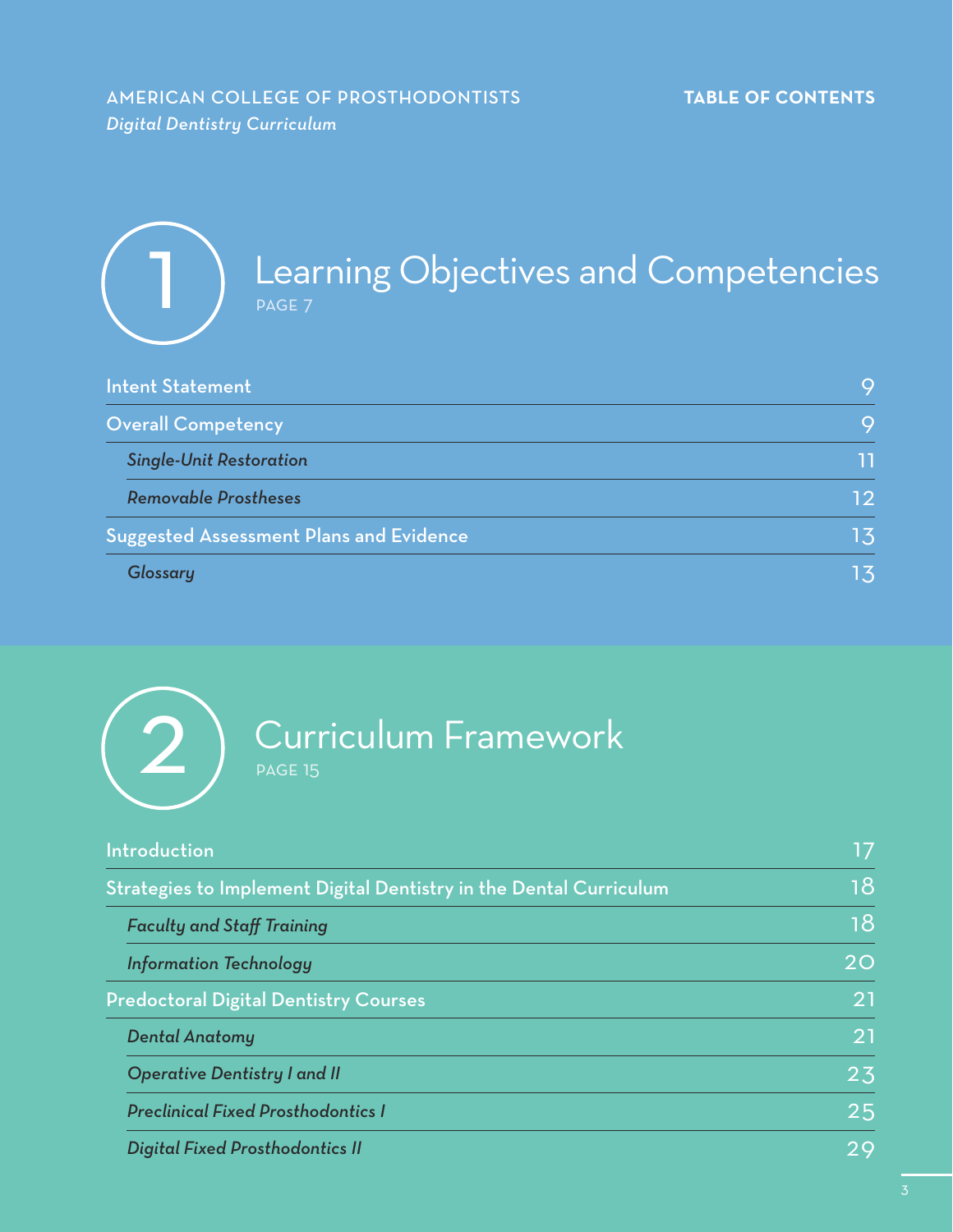# AMERICAN COLLEGE OF PROSTHODONTISTS **TABLE OF CONTENTS** *Digital Dentistry Curriculum*

| <b>Learning Objectives and Competencies</b><br><b>PAGE 7</b> |    |
|--------------------------------------------------------------|----|
| <b>Intent Statement</b>                                      | 9  |
| <b>Overall Competency</b>                                    | 9  |
| <b>Single-Unit Restoration</b>                               | 11 |
| <b>Removable Prostheses</b>                                  | 12 |
| <b>Suggested Assessment Plans and Evidence</b>               | 13 |
| Glossary                                                     | 13 |



# $(2)$  Curriculum Framework

| Introduction                                                       | 17 |
|--------------------------------------------------------------------|----|
| Strategies to Implement Digital Dentistry in the Dental Curriculum |    |
| <b>Faculty and Staff Training</b>                                  | 18 |
| <b>Information Technology</b>                                      | 20 |
| <b>Predoctoral Digital Dentistry Courses</b>                       | 21 |
| <b>Dental Anatomy</b>                                              | 21 |
| <b>Operative Dentistry I and II</b>                                | 23 |
| <b>Preclinical Fixed Prosthodontics I</b>                          | 25 |
| <b>Digital Fixed Prosthodontics II</b>                             | 29 |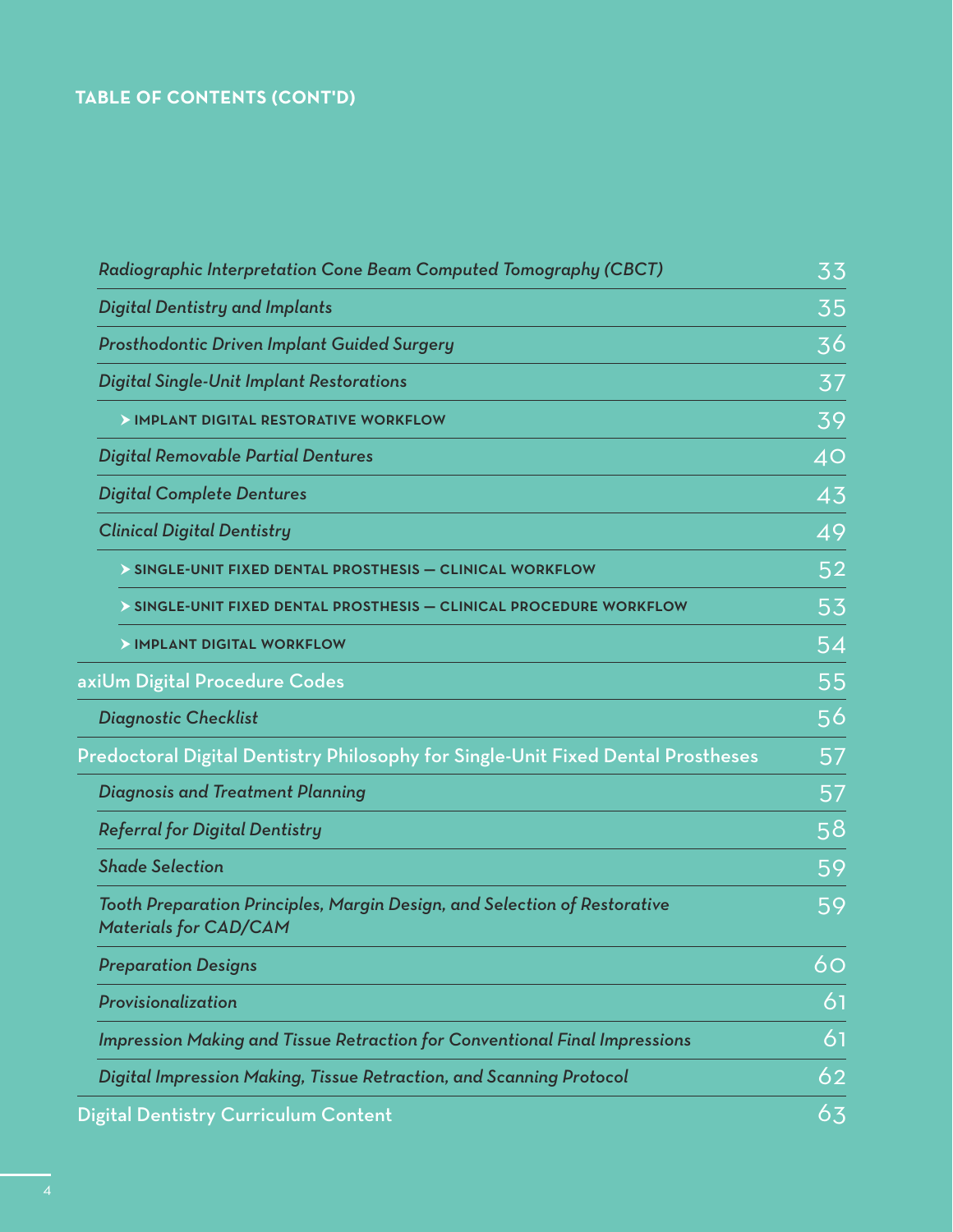### **TABLE OF CONTENTS (CONT'D)**

| Radiographic Interpretation Cone Beam Computed Tomography (CBCT)                                          | 33 |
|-----------------------------------------------------------------------------------------------------------|----|
| <b>Digital Dentistry and Implants</b>                                                                     | 35 |
| <b>Prosthodontic Driven Implant Guided Surgery</b>                                                        | 36 |
| <b>Digital Single-Unit Implant Restorations</b>                                                           | 37 |
| > IMPLANT DIGITAL RESTORATIVE WORKFLOW                                                                    | 39 |
| <b>Digital Removable Partial Dentures</b>                                                                 | 40 |
| <b>Digital Complete Dentures</b>                                                                          | 43 |
| <b>Clinical Digital Dentistry</b>                                                                         | 49 |
| SINGLE-UNIT FIXED DENTAL PROSTHESIS - CLINICAL WORKFLOW                                                   | 52 |
| > SINGLE-UNIT FIXED DENTAL PROSTHESIS - CLINICAL PROCEDURE WORKFLOW                                       | 53 |
| > IMPLANT DIGITAL WORKFLOW                                                                                | 54 |
| axiUm Digital Procedure Codes                                                                             | 55 |
| <b>Diagnostic Checklist</b>                                                                               | 56 |
| Predoctoral Digital Dentistry Philosophy for Single-Unit Fixed Dental Prostheses                          | 57 |
| <b>Diagnosis and Treatment Planning</b>                                                                   | 57 |
| <b>Referral for Digital Dentistry</b>                                                                     | 58 |
| <b>Shade Selection</b>                                                                                    | 59 |
| Tooth Preparation Principles, Margin Design, and Selection of Restorative<br><b>Materials for CAD/CAM</b> | 59 |
| <b>Preparation Designs</b>                                                                                | 60 |
| Provisionalization                                                                                        | 61 |
| <b>Impression Making and Tissue Retraction for Conventional Final Impressions</b>                         | 61 |
| Digital Impression Making, Tissue Retraction, and Scanning Protocol                                       | 62 |
| Digital Dentistry Curriculum Content                                                                      | 63 |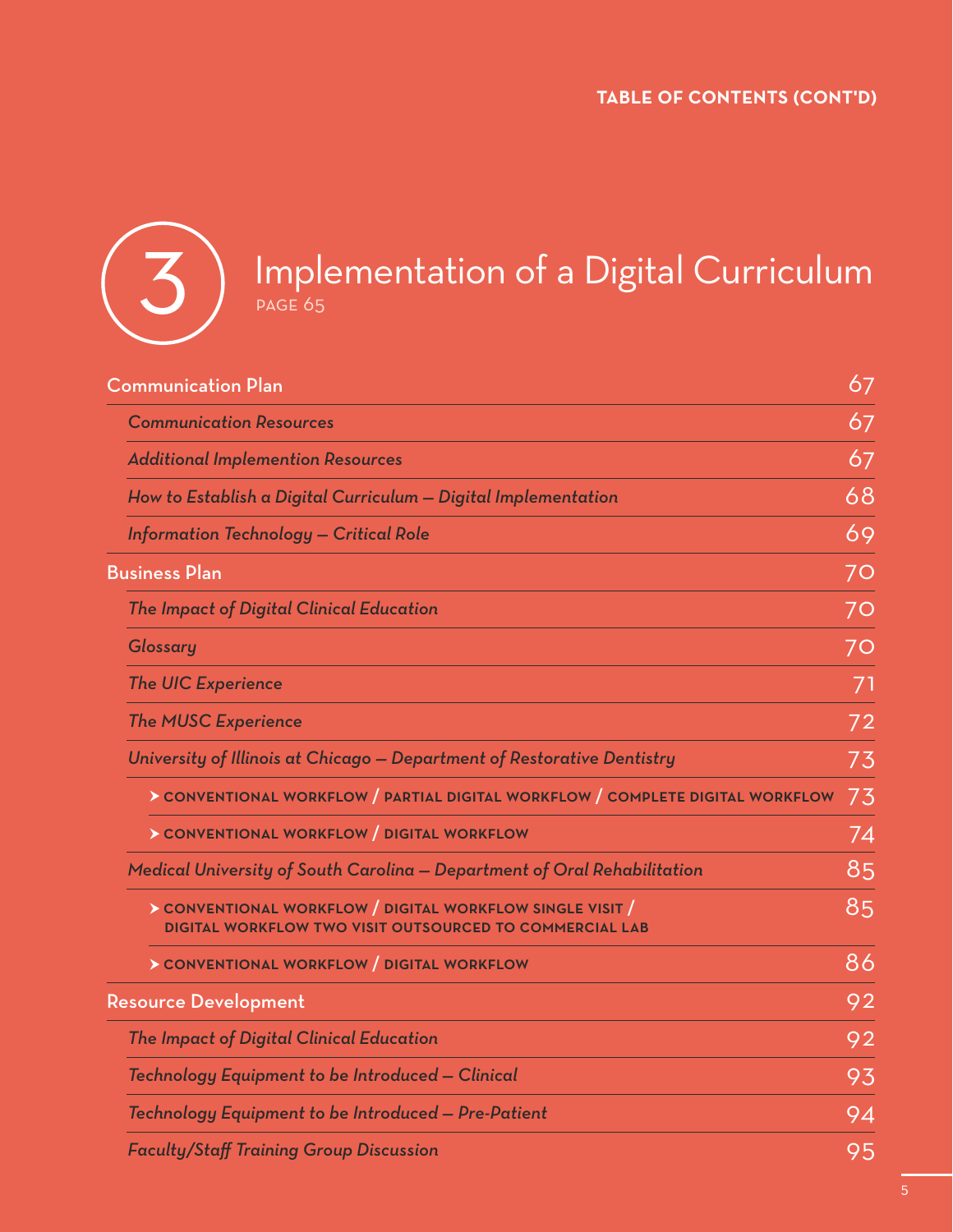

# 3) Implementation of a Digital Curriculum

| 67<br><b>Communication Plan</b>                                                                                             |    |
|-----------------------------------------------------------------------------------------------------------------------------|----|
| <b>Communication Resources</b>                                                                                              | 67 |
| <b>Additional Implemention Resources</b>                                                                                    | 67 |
| How to Establish a Digital Curriculum - Digital Implementation                                                              | 68 |
| <b>Information Technology - Critical Role</b>                                                                               | 69 |
| <b>Business Plan</b>                                                                                                        | 70 |
| The Impact of Digital Clinical Education                                                                                    | 70 |
| Glossary                                                                                                                    | 70 |
| <b>The UIC Experience</b>                                                                                                   | 71 |
| <b>The MUSC Experience</b>                                                                                                  | 72 |
| University of Illinois at Chicago – Department of Restorative Dentistry                                                     | 73 |
| > CONVENTIONAL WORKFLOW / PARTIAL DIGITAL WORKFLOW / COMPLETE DIGITAL WORKFLOW                                              | 73 |
| > CONVENTIONAL WORKFLOW   DIGITAL WORKFLOW                                                                                  | 74 |
| Medical University of South Carolina - Department of Oral Rehabilitation                                                    | 85 |
| > CONVENTIONAL WORKFLOW / DIGITAL WORKFLOW SINGLE VISIT /<br><b>DIGITAL WORKFLOW TWO VISIT OUTSOURCED TO COMMERCIAL LAB</b> | 85 |
| > CONVENTIONAL WORKFLOW / DIGITAL WORKFLOW                                                                                  | 86 |
| <b>Resource Development</b>                                                                                                 | 92 |
| The Impact of Digital Clinical Education                                                                                    | 92 |
| Technology Equipment to be Introduced - Clinical                                                                            | 93 |
| Technology Equipment to be Introduced - Pre-Patient                                                                         | 94 |
| <b>Faculty/Staff Training Group Discussion</b>                                                                              | 95 |